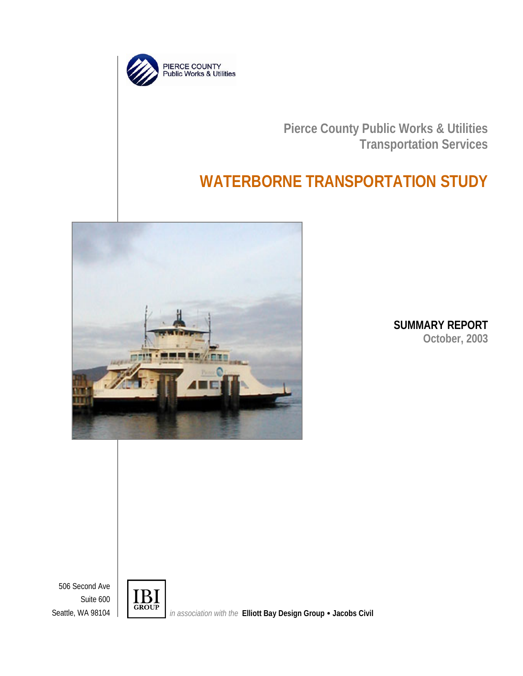

**Pierce County Public Works & Utilities Transportation Services**

# **WATERBORNE TRANSPORTATION STUDY**



**SUMMARY REPORT October, 2003**

506 Second Ave Suite 600



Suite 600<br>Seattle, WA 98104 **i**n association with the **Elliott Bay Design Group • Jacobs Civil**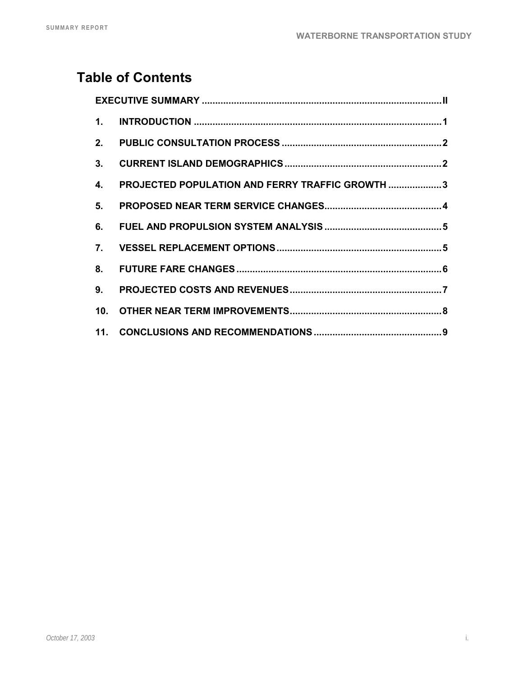## **Table of Contents**

| $\mathbf{1}$ .                 |                                                 |
|--------------------------------|-------------------------------------------------|
| 2.                             |                                                 |
| 3 <sub>1</sub>                 |                                                 |
| 4.                             | PROJECTED POPULATION AND FERRY TRAFFIC GROWTH 3 |
| 5 <sub>1</sub>                 |                                                 |
| 6.                             |                                                 |
| $7_{\scriptscriptstyle{\sim}}$ |                                                 |
| 8.                             |                                                 |
| 9.                             |                                                 |
|                                |                                                 |
|                                |                                                 |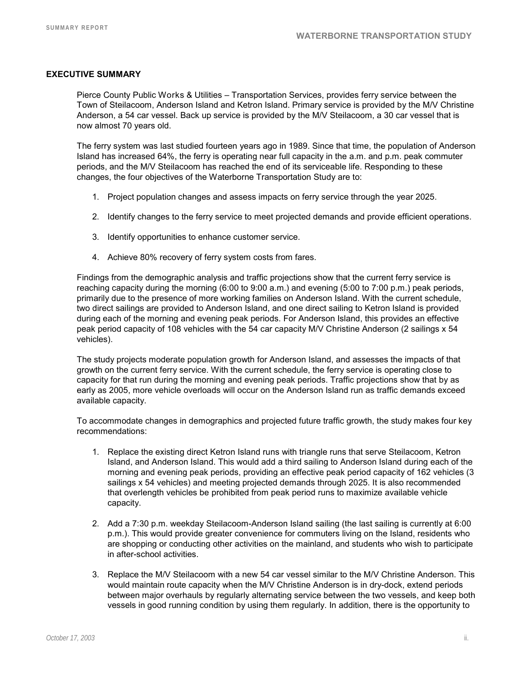#### **EXECUTIVE SUMMARY**

Pierce County Public Works & Utilities – Transportation Services, provides ferry service between the Town of Steilacoom, Anderson Island and Ketron Island. Primary service is provided by the M/V Christine Anderson, a 54 car vessel. Back up service is provided by the M/V Steilacoom, a 30 car vessel that is now almost 70 years old.

The ferry system was last studied fourteen years ago in 1989. Since that time, the population of Anderson Island has increased 64%, the ferry is operating near full capacity in the a.m. and p.m. peak commuter periods, and the M/V Steilacoom has reached the end of its serviceable life. Responding to these changes, the four objectives of the Waterborne Transportation Study are to:

- 1. Project population changes and assess impacts on ferry service through the year 2025.
- 2. Identify changes to the ferry service to meet projected demands and provide efficient operations.
- 3. Identify opportunities to enhance customer service.
- 4. Achieve 80% recovery of ferry system costs from fares.

Findings from the demographic analysis and traffic projections show that the current ferry service is reaching capacity during the morning (6:00 to 9:00 a.m.) and evening (5:00 to 7:00 p.m.) peak periods, primarily due to the presence of more working families on Anderson Island. With the current schedule, two direct sailings are provided to Anderson Island, and one direct sailing to Ketron Island is provided during each of the morning and evening peak periods. For Anderson Island, this provides an effective peak period capacity of 108 vehicles with the 54 car capacity M/V Christine Anderson (2 sailings x 54 vehicles).

The study projects moderate population growth for Anderson Island, and assesses the impacts of that growth on the current ferry service. With the current schedule, the ferry service is operating close to capacity for that run during the morning and evening peak periods. Traffic projections show that by as early as 2005, more vehicle overloads will occur on the Anderson Island run as traffic demands exceed available capacity.

To accommodate changes in demographics and projected future traffic growth, the study makes four key recommendations:

- 1. Replace the existing direct Ketron Island runs with triangle runs that serve Steilacoom, Ketron Island, and Anderson Island. This would add a third sailing to Anderson Island during each of the morning and evening peak periods, providing an effective peak period capacity of 162 vehicles (3 sailings x 54 vehicles) and meeting projected demands through 2025. It is also recommended that overlength vehicles be prohibited from peak period runs to maximize available vehicle capacity.
- 2. Add a 7:30 p.m. weekday Steilacoom-Anderson Island sailing (the last sailing is currently at 6:00 p.m.). This would provide greater convenience for commuters living on the Island, residents who are shopping or conducting other activities on the mainland, and students who wish to participate in after-school activities.
- 3. Replace the M/V Steilacoom with a new 54 car vessel similar to the M/V Christine Anderson. This would maintain route capacity when the M/V Christine Anderson is in dry-dock, extend periods between major overhauls by regularly alternating service between the two vessels, and keep both vessels in good running condition by using them regularly. In addition, there is the opportunity to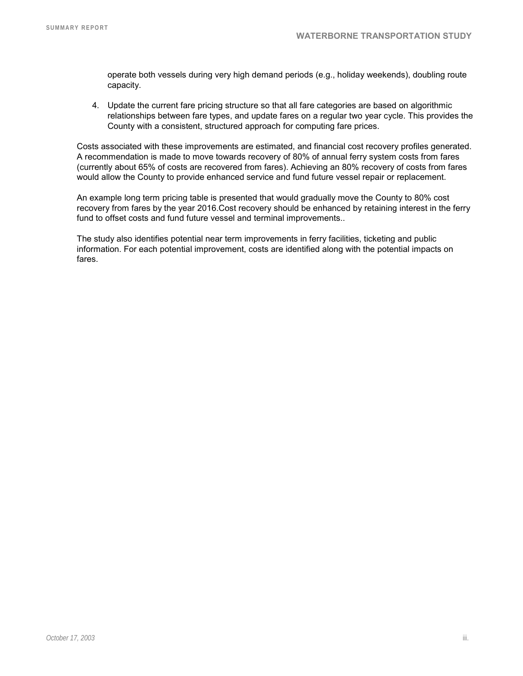operate both vessels during very high demand periods (e.g., holiday weekends), doubling route capacity.

4. Update the current fare pricing structure so that all fare categories are based on algorithmic relationships between fare types, and update fares on a regular two year cycle. This provides the County with a consistent, structured approach for computing fare prices.

Costs associated with these improvements are estimated, and financial cost recovery profiles generated. A recommendation is made to move towards recovery of 80% of annual ferry system costs from fares (currently about 65% of costs are recovered from fares). Achieving an 80% recovery of costs from fares would allow the County to provide enhanced service and fund future vessel repair or replacement.

An example long term pricing table is presented that would gradually move the County to 80% cost recovery from fares by the year 2016.Cost recovery should be enhanced by retaining interest in the ferry fund to offset costs and fund future vessel and terminal improvements..

The study also identifies potential near term improvements in ferry facilities, ticketing and public information. For each potential improvement, costs are identified along with the potential impacts on fares.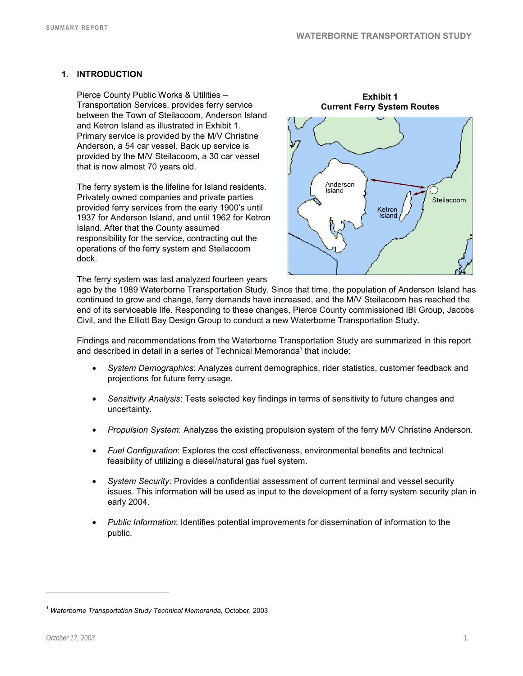**Exhibit 1** 

## **1. INTRODUCTION**

Pierce County Public Works & Utilities – Transportation Services, provides ferry service between the Town of Steilacoom, Anderson Island and Ketron Island as illustrated in Exhibit 1. Primary service is provided by the M/V Christine Anderson, a 54 car vessel. Back up service is provided by the M/V Steilacoom, a 30 car vessel that is now almost 70 years old.

The ferry system is the lifeline for Island residents. Privately owned companies and private parties provided ferry services from the early 1900's until 1937 for Anderson Island, and until 1962 for Ketron Island. After that the County assumed responsibility for the service, contracting out the operations of the ferry system and Steilacoom dock.

The ferry system was last analyzed fourteen years



ago by the 1989 Waterborne Transportation Study. Since that time, the population of Anderson Island has continued to grow and change, ferry demands have increased, and the M/V Steilacoom has reached the end of its serviceable life. Responding to these changes, Pierce County commissioned IBI Group, Jacobs Civil, and the Elliott Bay Design Group to conduct a new Waterborne Transportation Study.

Findings and recommendations from the Waterborne Transportation Study are summarized in this report and described in detail in a series of Technical Memoranda<sup>1</sup> that include:

- *System Demographics*: Analyzes current demographics, rider statistics, customer feedback and projections for future ferry usage.
- *Sensitivity Analysis*: Tests selected key findings in terms of sensitivity to future changes and uncertainty.
- *Propulsion System*: Analyzes the existing propulsion system of the ferry M/V Christine Anderson.
- *Fuel Configuration*: Explores the cost effectiveness, environmental benefits and technical feasibility of utilizing a diesel/natural gas fuel system.
- *System Security*: Provides a confidential assessment of current terminal and vessel security issues. This information will be used as input to the development of a ferry system security plan in early 2004.
- *Public Information*: Identifies potential improvements for dissemination of information to the public.

-

<sup>1</sup> *Waterborne Transportation Study Technical Memoranda,* October, 2003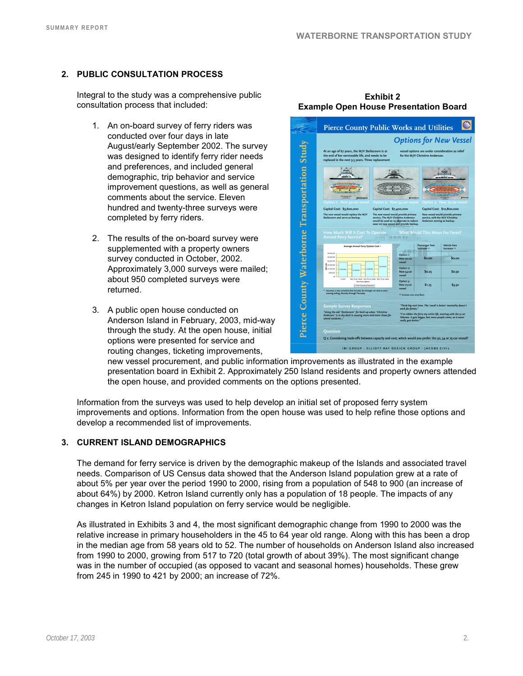## **2. PUBLIC CONSULTATION PROCESS**

Integral to the study was a comprehensive public consultation process that included:

- 1. An on-board survey of ferry riders was conducted over four days in late August/early September 2002. The survey was designed to identify ferry rider needs and preferences, and included general demographic, trip behavior and service improvement questions, as well as general comments about the service. Eleven hundred and twenty-three surveys were completed by ferry riders.
- 2. The results of the on-board survey were supplemented with a property owners survey conducted in October, 2002. Approximately 3,000 surveys were mailed; about 950 completed surveys were returned.
- 3. A public open house conducted on Anderson Island in February, 2003, mid-way through the study. At the open house, initial options were presented for service and routing changes, ticketing improvements,

**Pierce County Public Works and Utilities Options for New Vessel** Study



new vessel procurement, and public information improvements as illustrated in the example presentation board in Exhibit 2. Approximately 250 Island residents and property owners attended the open house, and provided comments on the options presented.

Information from the surveys was used to help develop an initial set of proposed ferry system improvements and options. Information from the open house was used to help refine those options and develop a recommended list of improvements.

#### **3. CURRENT ISLAND DEMOGRAPHICS**

The demand for ferry service is driven by the demographic makeup of the Islands and associated travel needs. Comparison of US Census data showed that the Anderson Island population grew at a rate of about 5% per year over the period 1990 to 2000, rising from a population of 548 to 900 (an increase of about 64%) by 2000. Ketron Island currently only has a population of 18 people. The impacts of any changes in Ketron Island population on ferry service would be negligible.

As illustrated in Exhibits 3 and 4, the most significant demographic change from 1990 to 2000 was the relative increase in primary householders in the 45 to 64 year old range. Along with this has been a drop in the median age from 58 years old to 52. The number of households on Anderson Island also increased from 1990 to 2000, growing from 517 to 720 (total growth of about 39%). The most significant change was in the number of occupied (as opposed to vacant and seasonal homes) households. These grew from 245 in 1990 to 421 by 2000; an increase of 72%.

**Exhibit 2 Example Open House Presentation Board**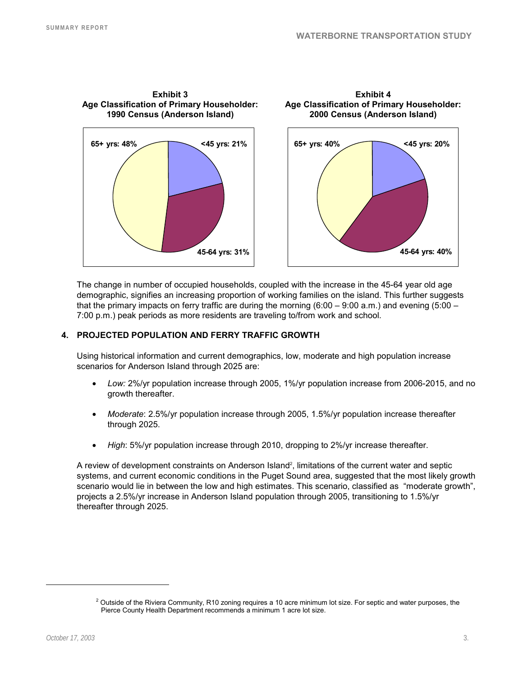

The change in number of occupied households, coupled with the increase in the 45-64 year old age demographic, signifies an increasing proportion of working families on the island. This further suggests that the primary impacts on ferry traffic are during the morning (6:00 – 9:00 a.m.) and evening (5:00 – 7:00 p.m.) peak periods as more residents are traveling to/from work and school.

#### **4. PROJECTED POPULATION AND FERRY TRAFFIC GROWTH**

Using historical information and current demographics, low, moderate and high population increase scenarios for Anderson Island through 2025 are:

- *Low:* 2%/yr population increase through 2005, 1%/yr population increase from 2006-2015, and no growth thereafter.
- *Moderate*: 2.5%/yr population increase through 2005, 1.5%/yr population increase thereafter through 2025.
- *High*: 5%/yr population increase through 2010, dropping to 2%/yr increase thereafter.

A review of development constraints on Anderson Island<sup>2</sup>, limitations of the current water and septic systems, and current economic conditions in the Puget Sound area, suggested that the most likely growth scenario would lie in between the low and high estimates. This scenario, classified as "moderate growth", projects a 2.5%/yr increase in Anderson Island population through 2005, transitioning to 1.5%/yr thereafter through 2025.

-

 $^2$  Outside of the Riviera Community, R10 zoning requires a 10 acre minimum lot size. For septic and water purposes, the Pierce County Health Department recommends a minimum 1 acre lot size.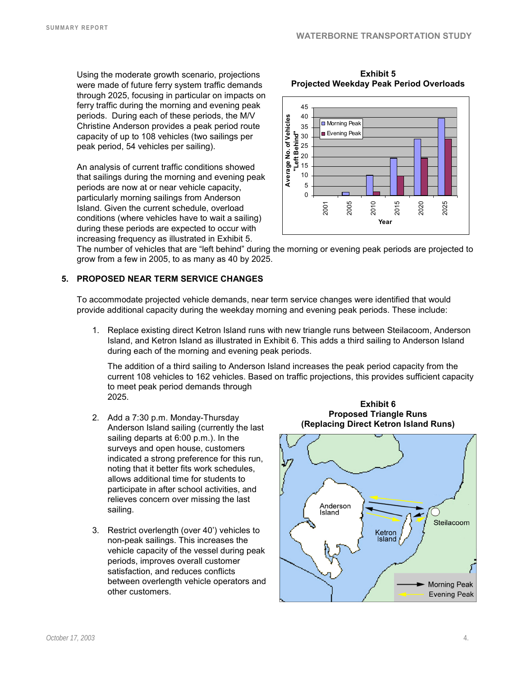**Exhibit 5** 

Using the moderate growth scenario, projections were made of future ferry system traffic demands through 2025, focusing in particular on impacts on ferry traffic during the morning and evening peak periods. During each of these periods, the M/V Christine Anderson provides a peak period route capacity of up to 108 vehicles (two sailings per peak period, 54 vehicles per sailing).

An analysis of current traffic conditions showed that sailings during the morning and evening peak periods are now at or near vehicle capacity, particularly morning sailings from Anderson Island. Given the current schedule, overload conditions (where vehicles have to wait a sailing) during these periods are expected to occur with increasing frequency as illustrated in Exhibit 5.



The number of vehicles that are "left behind" during the morning or evening peak periods are projected to grow from a few in 2005, to as many as 40 by 2025.

#### **5. PROPOSED NEAR TERM SERVICE CHANGES**

To accommodate projected vehicle demands, near term service changes were identified that would provide additional capacity during the weekday morning and evening peak periods. These include:

1. Replace existing direct Ketron Island runs with new triangle runs between Steilacoom, Anderson Island, and Ketron Island as illustrated in Exhibit 6. This adds a third sailing to Anderson Island during each of the morning and evening peak periods.

The addition of a third sailing to Anderson Island increases the peak period capacity from the current 108 vehicles to 162 vehicles. Based on traffic projections, this provides sufficient capacity to meet peak period demands through 2025.

- 2. Add a 7:30 p.m. Monday-Thursday Anderson Island sailing (currently the last sailing departs at 6:00 p.m.). In the surveys and open house, customers indicated a strong preference for this run, noting that it better fits work schedules, allows additional time for students to participate in after school activities, and relieves concern over missing the last sailing.
- 3. Restrict overlength (over 40') vehicles to non-peak sailings. This increases the vehicle capacity of the vessel during peak periods, improves overall customer satisfaction, and reduces conflicts between overlength vehicle operators and other customers.

**Exhibit 6 Proposed Triangle Runs (Replacing Direct Ketron Island Runs)**

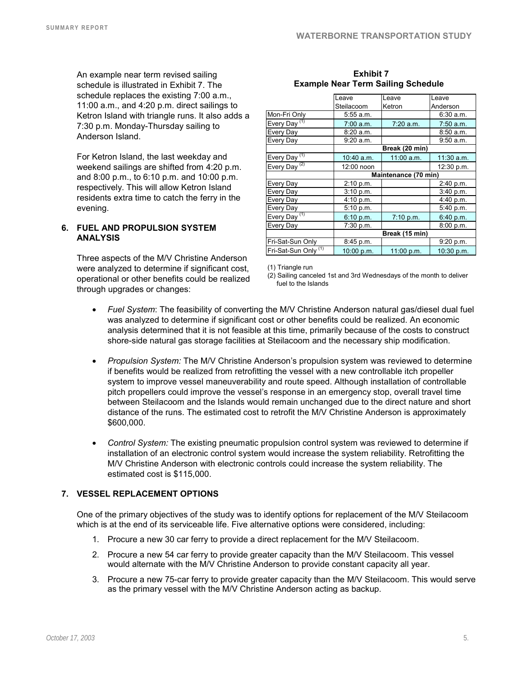An example near term revised sailing schedule is illustrated in Exhibit 7. The schedule replaces the existing 7:00 a.m., 11:00 a.m., and 4:20 p.m. direct sailings to Ketron Island with triangle runs. It also adds a 7:30 p.m. Monday-Thursday sailing to Anderson Island.

For Ketron Island, the last weekday and weekend sailings are shifted from 4:20 p.m. and 8:00 p.m., to 6:10 p.m. and 10:00 p.m. respectively. This will allow Ketron Island residents extra time to catch the ferry in the evening.

#### **6. FUEL AND PROPULSION SYSTEM ANALYSIS**

Three aspects of the M/V Christine Anderson were analyzed to determine if significant cost, operational or other benefits could be realized through upgrades or changes:

|                                 | Leave                | Leave        | Leave        |  |
|---------------------------------|----------------------|--------------|--------------|--|
|                                 | Steilacoom           | Ketron       | Anderson     |  |
| Mon-Fri Only                    | 5:55 a.m.            |              | 6:30 a.m.    |  |
| Every Day <sup>(1)</sup>        | 7:00 a.m.            | 7:20 a.m.    | 7:50 a.m.    |  |
| Every Day                       | 8:20 a.m.            |              | 8:50a.m.     |  |
| Every Day                       | 9:20 a.m.            |              | 9:50 a.m.    |  |
|                                 | Break (20 min)       |              |              |  |
| Every Day <sup>(1)</sup>        | 10:40 a.m.           | $11:00$ a.m. | $11:30$ a.m. |  |
| Every Day <sup>(2)</sup>        | 12:00 noon           |              | 12:30 p.m.   |  |
|                                 | Maintenance (70 min) |              |              |  |
| Every Day                       | 2:10 p.m.            |              | 2:40 p.m.    |  |
| Every Day                       | 3:10 p.m.            |              | 3:40 p.m.    |  |
| Every Day                       | 4:10 p.m.            |              | 4:40 p.m.    |  |
| Every Day                       | 5:10 p.m.            |              | 5:40 p.m.    |  |
| (1)<br>Every Day                | 6:10 p.m.            | 7:10 p.m.    | 6:40 p.m.    |  |
| Every Day                       | 7:30 p.m.            |              | 8:00 p.m.    |  |
|                                 | Break (15 min)       |              |              |  |
| Fri-Sat-Sun Only                | 8:45 p.m.            |              | 9:20 p.m.    |  |
| Fri-Sat-Sun Only <sup>(1)</sup> | 10:00 p.m.           | 11:00 p.m.   | 10:30 p.m.   |  |

#### **Exhibit 7 Example Near Term Sailing Schedule**

(1) Triangle run

(2) Sailing canceled 1st and 3rd Wednesdays of the month to deliver fuel to the Islands

- *Fuel System*: The feasibility of converting the M/V Christine Anderson natural gas/diesel dual fuel was analyzed to determine if significant cost or other benefits could be realized. An economic analysis determined that it is not feasible at this time, primarily because of the costs to construct shore-side natural gas storage facilities at Steilacoom and the necessary ship modification.
- *Propulsion System:* The M/V Christine Anderson's propulsion system was reviewed to determine if benefits would be realized from retrofitting the vessel with a new controllable itch propeller system to improve vessel maneuverability and route speed. Although installation of controllable pitch propellers could improve the vessel's response in an emergency stop, overall travel time between Steilacoom and the Islands would remain unchanged due to the direct nature and short distance of the runs. The estimated cost to retrofit the M/V Christine Anderson is approximately \$600,000.
- *Control System:* The existing pneumatic propulsion control system was reviewed to determine if installation of an electronic control system would increase the system reliability. Retrofitting the M/V Christine Anderson with electronic controls could increase the system reliability. The estimated cost is \$115,000.

## **7. VESSEL REPLACEMENT OPTIONS**

One of the primary objectives of the study was to identify options for replacement of the M/V Steilacoom which is at the end of its serviceable life. Five alternative options were considered, including:

- 1. Procure a new 30 car ferry to provide a direct replacement for the M/V Steilacoom.
- 2. Procure a new 54 car ferry to provide greater capacity than the M/V Steilacoom. This vessel would alternate with the M/V Christine Anderson to provide constant capacity all year.
- 3. Procure a new 75-car ferry to provide greater capacity than the M/V Steilacoom. This would serve as the primary vessel with the M/V Christine Anderson acting as backup.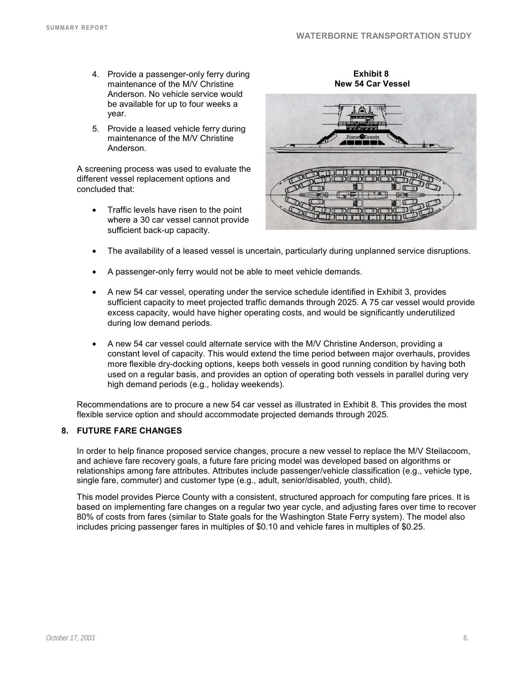- 4. Provide a passenger-only ferry during maintenance of the M/V Christine Anderson. No vehicle service would be available for up to four weeks a year.
- 5. Provide a leased vehicle ferry during maintenance of the M/V Christine Anderson.

A screening process was used to evaluate the different vessel replacement options and concluded that:

• Traffic levels have risen to the point where a 30 car vessel cannot provide sufficient back-up capacity.

 **New 54 Car Vessel THEFT**  $T\mathbb{U}$  $\overline{AB}$ 

**Exhibit 8** 

- The availability of a leased vessel is uncertain, particularly during unplanned service disruptions.
- A passenger-only ferry would not be able to meet vehicle demands.
- A new 54 car vessel, operating under the service schedule identified in Exhibit 3, provides sufficient capacity to meet projected traffic demands through 2025. A 75 car vessel would provide excess capacity, would have higher operating costs, and would be significantly underutilized during low demand periods.
- A new 54 car vessel could alternate service with the M/V Christine Anderson, providing a constant level of capacity. This would extend the time period between major overhauls, provides more flexible dry-docking options, keeps both vessels in good running condition by having both used on a regular basis, and provides an option of operating both vessels in parallel during very high demand periods (e.g., holiday weekends).

Recommendations are to procure a new 54 car vessel as illustrated in Exhibit 8. This provides the most flexible service option and should accommodate projected demands through 2025.

#### **8. FUTURE FARE CHANGES**

In order to help finance proposed service changes, procure a new vessel to replace the M/V Steilacoom, and achieve fare recovery goals, a future fare pricing model was developed based on algorithms or relationships among fare attributes. Attributes include passenger/vehicle classification (e.g., vehicle type, single fare, commuter) and customer type (e.g., adult, senior/disabled, youth, child).

This model provides Pierce County with a consistent, structured approach for computing fare prices. It is based on implementing fare changes on a regular two year cycle, and adjusting fares over time to recover 80% of costs from fares (similar to State goals for the Washington State Ferry system). The model also includes pricing passenger fares in multiples of \$0.10 and vehicle fares in multiples of \$0.25.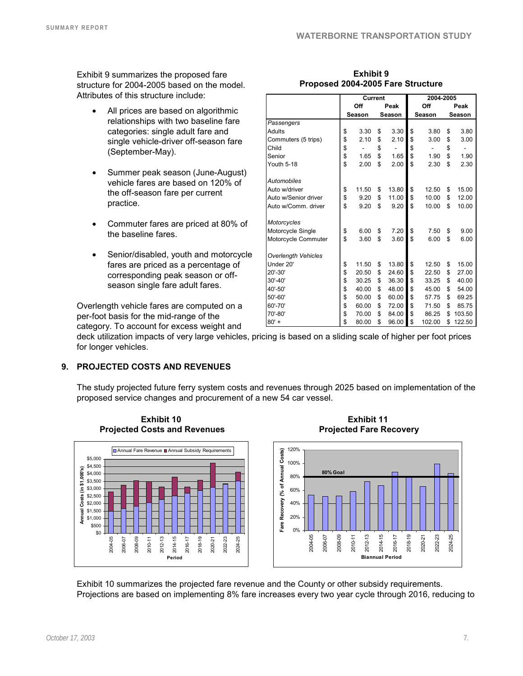**Peak Season** 

 **Off Season** 

**Current 2004-2005**

**Peak Season** 

Exhibit 9 summarizes the proposed fare structure for 2004-2005 based on the model. Attributes of this structure include:

- All prices are based on algorithmic relationships with two baseline fare categories: single adult fare and single vehicle-driver off-season fare (September-May).
- Summer peak season (June-August) vehicle fares are based on 120% of the off-season fare per current practice.
- Commuter fares are priced at 80% of the baseline fares.
- Senior/disabled, youth and motorcycle fares are priced as a percentage of corresponding peak season or offseason single fare adult fares.

Overlength vehicle fares are computed on a per-foot basis for the mid-range of the category. To account for excess weight and

deck utilization impacts of very large vehicles, pricing is based on a sliding scale of higher per foot prices for longer vehicles.

*Passengers*

*Automobiles*

*Motorcycles*

*Overlength Vehicles*

## **9. PROJECTED COSTS AND REVENUES**

The study projected future ferry system costs and revenues through 2025 based on implementation of the proposed service changes and procurement of a new 54 car vessel.



**Exhibit 10** 

**Exhibit 11 Projected Fare Recovery** 



Exhibit 10 summarizes the projected fare revenue and the County or other subsidy requirements. Projections are based on implementing 8% fare increases every two year cycle through 2016, reducing to

| Exhibit 9                         |  |
|-----------------------------------|--|
| Proposed 2004-2005 Fare Structure |  |

Adults 3.30 \$ 3.30 \$ 3.80 \$ 3.80 \$ Commuters (5 trips) 2.10 \$ 2.10 \$ 3.00 \$ 3.00 \$ Child - \$ - \$ - \$ - \$ Senior **1.65 \$ 1.65 \$ 1.90 \$ 1.90** Youth 5-18 **\$** 2.00 \$ 2.00 \$ 2.30 \$ 2.30

Auto w/driver **10.50 \$ 11.50 \$ 13.80** \$ 12.50 \$ 15.00 Auto w/Senior driver  $\begin{vmatrix} 8 & 9.20 & 8 & 11.00 & 8 & 10.00 & 8 & 12.00 \\ 8 & 9.20 & 8 & 9.20 & 8 & 10.00 & 8 & 10.00 \end{vmatrix}$ 

Motorcycle Single 5 6.00 \$ 7.20 \$ 7.50 \$ 9.00 Motorcycle Commuter  $\frac{1}{3}$  3.60 \$ 3.60 \$ 6.00 \$ 6.00

Under 20' **\$** 11.50 \$ 13.80 \$ 12.50 \$ 15.00 20'-30' 20.50 \$ 24.60 \$ 22.50 \$ 27.00 \$ 30'-40' **\$** 30.25 \$ 36.30 \$ 33.25 \$ 40.00 40'-50' 40.00 \$ 48.00 \$ 45.00 \$ 54.00 \$ 50'-60' 50.00 \$ 60.00 \$ 57.75 \$ 69.25 \$ 60'-70' 60.00 \$ 72.00 \$ 71.50 \$ 85.75 \$ 70'-80' 70.00 \$ 84.00 \$ 86.25 \$ 103.50 \$ 80' + 80.00 \$ 96.00 \$ 102.00 \$ 122.50

Auto w/Comm. driver 9.20 \$ 9.20 \$ 10.00 \$ 10.00 \$

**Off Season**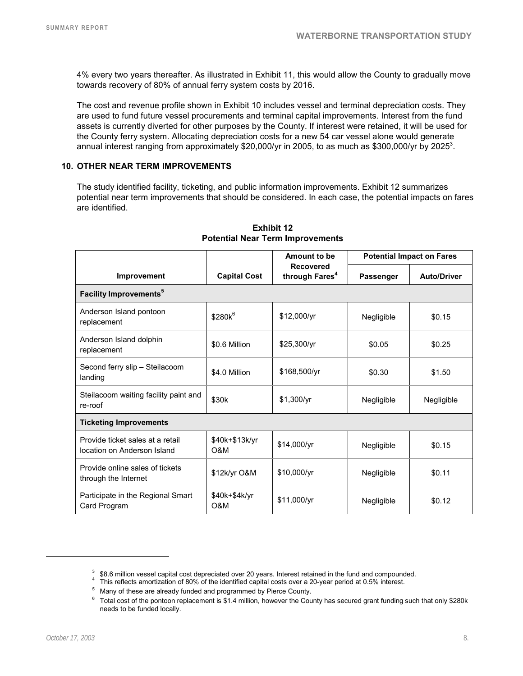4% every two years thereafter. As illustrated in Exhibit 11, this would allow the County to gradually move towards recovery of 80% of annual ferry system costs by 2016.

The cost and revenue profile shown in Exhibit 10 includes vessel and terminal depreciation costs. They are used to fund future vessel procurements and terminal capital improvements. Interest from the fund assets is currently diverted for other purposes by the County. If interest were retained, it will be used for the County ferry system. Allocating depreciation costs for a new 54 car vessel alone would generate annual interest ranging from approximately \$20,000/yr in 2005, to as much as \$300,000/yr by 2025<sup>3</sup>.

#### **10. OTHER NEAR TERM IMPROVEMENTS**

The study identified facility, ticketing, and public information improvements. Exhibit 12 summarizes potential near term improvements that should be considered. In each case, the potential impacts on fares are identified.

|                                                                 | <b>Capital Cost</b>   | Amount to be<br><b>Recovered</b><br>through Fares <sup>4</sup> | <b>Potential Impact on Fares</b> |                    |  |  |  |
|-----------------------------------------------------------------|-----------------------|----------------------------------------------------------------|----------------------------------|--------------------|--|--|--|
| Improvement                                                     |                       |                                                                | <b>Passenger</b>                 | <b>Auto/Driver</b> |  |  |  |
| <b>Facility Improvements<sup>5</sup></b>                        |                       |                                                                |                                  |                    |  |  |  |
| Anderson Island pontoon<br>replacement                          | \$280k <sup>6</sup>   | \$12,000/yr                                                    | Negligible                       | \$0.15             |  |  |  |
| Anderson Island dolphin<br>replacement                          | \$0.6 Million         | \$25,300/yr                                                    | \$0.05                           | \$0.25             |  |  |  |
| Second ferry slip - Steilacoom<br>landing                       | \$4.0 Million         | \$168,500/yr                                                   | \$0.30                           | \$1.50             |  |  |  |
| Steilacoom waiting facility paint and<br>re-roof                | \$30k                 | \$1,300/yr                                                     | Negligible                       | Negligible         |  |  |  |
| <b>Ticketing Improvements</b>                                   |                       |                                                                |                                  |                    |  |  |  |
| Provide ticket sales at a retail<br>location on Anderson Island | \$40k+\$13k/yr<br>O&M | \$14,000/yr                                                    | Negligible                       | \$0.15             |  |  |  |
| Provide online sales of tickets<br>through the Internet         | \$12k/yr O&M          | \$10,000/yr                                                    | Negligible                       | \$0.11             |  |  |  |
| Participate in the Regional Smart<br>Card Program               | \$40k+\$4k/yr<br>O&M  | \$11,000/yr                                                    | Negligible                       | \$0.12             |  |  |  |

#### **Exhibit 12 Potential Near Term Improvements**

l

<sup>&</sup>lt;sup>3</sup> \$8.6 million vessel capital cost depreciated over 20 years. Interest retained in the fund and compounded.<br><sup>4</sup> This reflects amerization of 80% of the identified copital costs over a 20 year period at 0.5% interest.

This reflects amortization of 80% of the identified capital costs over a 20-year period at 0.5% interest.

<sup>5</sup> Many of these are already funded and programmed by Pierce County.

<sup>6</sup> Total cost of the pontoon replacement is \$1.4 million, however the County has secured grant funding such that only \$280k needs to be funded locally.